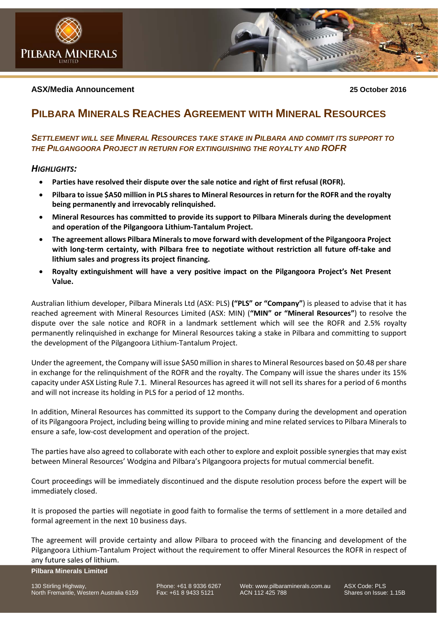

# **ASX/Media Announcement 25 October 2016**

# **PILBARA MINERALS REACHES AGREEMENT WITH MINERAL RESOURCES**

# *SETTLEMENT WILL SEE MINERAL RESOURCES TAKE STAKE IN PILBARA AND COMMIT ITS SUPPORT TO THE PILGANGOORA PROJECT IN RETURN FOR EXTINGUISHING THE ROYALTY AND ROFR*

# *HIGHLIGHTS:*

- **Parties have resolved their dispute over the sale notice and right of first refusal (ROFR).**
- **Pilbara to issue \$A50 million in PLS shares to Mineral Resources in return for the ROFR and the royalty being permanently and irrevocably relinquished.**
- **Mineral Resources has committed to provide its support to Pilbara Minerals during the development and operation of the Pilgangoora Lithium-Tantalum Project.**
- **The agreement allows Pilbara Minerals to move forward with development of the Pilgangoora Project with long-term certainty, with Pilbara free to negotiate without restriction all future off-take and lithium sales and progress its project financing.**
- **Royalty extinguishment will have a very positive impact on the Pilgangoora Project's Net Present Value.**

Australian lithium developer, Pilbara Minerals Ltd (ASX: PLS) **("PLS" or "Company"**) is pleased to advise that it has reached agreement with Mineral Resources Limited (ASX: MIN) (**"MIN" or "Mineral Resources"**) to resolve the dispute over the sale notice and ROFR in a landmark settlement which will see the ROFR and 2.5% royalty permanently relinquished in exchange for Mineral Resources taking a stake in Pilbara and committing to support the development of the Pilgangoora Lithium-Tantalum Project.

Under the agreement, the Company will issue \$A50 million in shares to Mineral Resources based on \$0.48 per share in exchange for the relinquishment of the ROFR and the royalty. The Company will issue the shares under its 15% capacity under ASX Listing Rule 7.1. Mineral Resources has agreed it will not sell its shares for a period of 6 months and will not increase its holding in PLS for a period of 12 months.

In addition, Mineral Resources has committed its support to the Company during the development and operation of its Pilgangoora Project, including being willing to provide mining and mine related services to Pilbara Minerals to ensure a safe, low-cost development and operation of the project.

The parties have also agreed to collaborate with each other to explore and exploit possible synergies that may exist between Mineral Resources' Wodgina and Pilbara's Pilgangoora projects for mutual commercial benefit.

Court proceedings will be immediately discontinued and the dispute resolution process before the expert will be immediately closed.

It is proposed the parties will negotiate in good faith to formalise the terms of settlement in a more detailed and formal agreement in the next 10 business days.

The agreement will provide certainty and allow Pilbara to proceed with the financing and development of the Pilgangoora Lithium-Tantalum Project without the requirement to offer Mineral Resources the ROFR in respect of any future sales of lithium.

**Pilbara Minerals Limited**